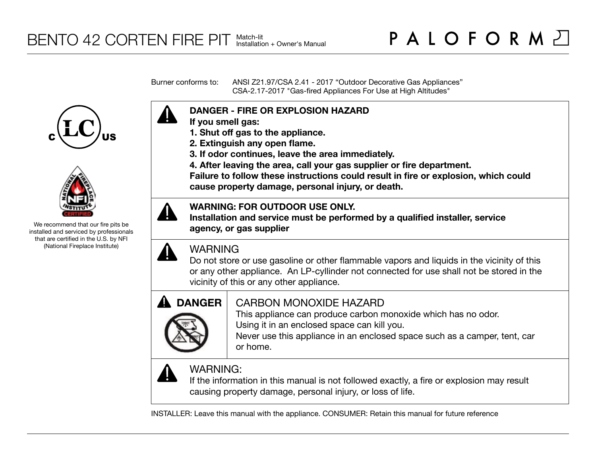Burner conforms to: ANSI Z21.97/CSA 2.41 - 2017 "Outdoor Decorative Gas Appliances" CSA-2.17-2017 "Gas-fired Appliances For Use at High Altitudes"





We recommend that our fire pits be installed and serviced by professionals that are certified in the U.S. by NFI (National Fireplace Institute)



- **If you smell gas:**
- **1. Shut off gas to the appliance.**
- **2. Extinguish any open flame.**
- **3. If odor continues, leave the area immediately.**
- **4. After leaving the area, call your gas supplier or fire department.**

**Failure to follow these instructions could result in fire or explosion, which could cause property damage, personal injury, or death.**

## **WARNING: FOR OUTDOOR USE ONLY.**

**Installation and service must be performed by a qualified installer, service agency, or gas supplier**



# WARNING

Do not store or use gasoline or other flammable vapors and liquids in the vicinity of this or any other appliance. An LP-cyllinder not connected for use shall not be stored in the vicinity of this or any other appliance.



# CARBON MONOXIDE HAZARD

This appliance can produce carbon monoxide which has no odor. Using it in an enclosed space can kill you.

Never use this appliance in an enclosed space such as a camper, tent, car or home.



# WARNING:

If the information in this manual is not followed exactly, a fire or explosion may result causing property damage, personal injury, or loss of life.

INSTALLER: Leave this manual with the appliance. CONSUMER: Retain this manual for future reference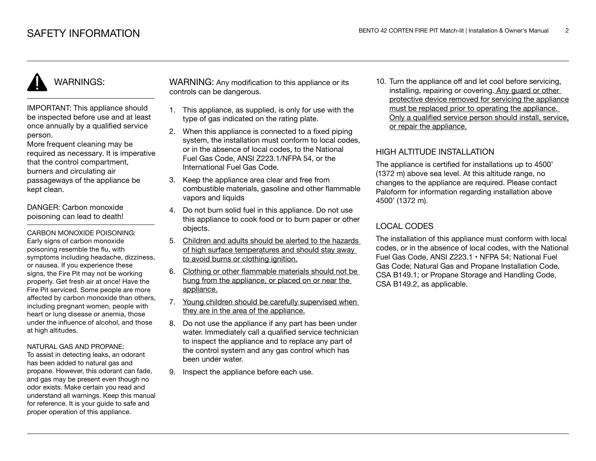# WARNINGS:

IMPORTANT: This appliance should be inspected before use and at least once annually by a qualified service person.

More frequent cleaning may be required as necessary. It is imperative that the control compartment, burners and circulating air passageways of the appliance be kept clean.

DANGER: Carbon monoxide poisoning can lead to death!

CARBON MONOXIDE POISONING: Early signs of carbon monoxide poisoning resemble the flu, with symptoms including headache, dizziness, or nausea. If you experience these signs, the Fire Pit may not be working properly. Get fresh air at once! Have the Fire Pit serviced. Some people are more affected by carbon monoxide than others, including pregnant women, people with heart or lung disease or anemia, those under the influence of alcohol, and those at high altitudes.

#### NATURAL GAS AND PROPANE:

To assist in detecting leaks, an odorant has been added to natural gas and propane. However, this odorant can fade, and gas may be present even though no odor exists. Make certain you read and understand all warnings. Keep this manual for reference. It is your guide to safe and proper operation of this appliance.

WARNING: Any modification to this appliance or its controls can be dangerous.

- 1. This appliance, as supplied, is only for use with the type of gas indicated on the rating plate.
- 2. When this appliance is connected to a fixed piping system, the installation must conform to local codes. or in the absence of local codes, to the National Fuel Gas Code, ANSI Z223.1/NFPA 54, or the International Fuel Gas Code.
- 3. Keep the appliance area clear and free from combustible materials, gasoline and other flammable vapors and liquids
- 4. Do not burn solid fuel in this appliance. Do not use this appliance to cook food or to burn paper or other objects.
- 5. Children and adults should be alerted to the hazards of high surface temperatures and should stay away to avoid burns or clothing ignition.
- 6. Clothing or other flammable materials should not be hung from the appliance, or placed on or near the appliance.
- 7. Young children should be carefully supervised when they are in the area of the appliance.
- 8. Do not use the appliance if any part has been under water. Immediately call a qualified service technician to inspect the appliance and to replace any part of the control system and any gas control which has been under water.
- 9. Inspect the appliance before each use.

10. Turn the appliance off and let cool before servicing, installing, repairing or covering. Any guard or other protective device removed for servicing the appliance must be replaced prior to operating the appliance. Only a qualified service person should install, service, or repair the appliance.

## HIGH ALTITUDE INSTALLATION

The appliance is certified for installations up to 4500' (1372 m) above sea level. At this altitude range, no changes to the appliance are required. Please contact Paloform for information regarding installation above 4500' (1372 m).

## LOCAL CODES

The installation of this appliance must conform with local codes, or in the absence of local codes, with the National Fuel Gas Code, ANSI Z223.1 • NFPA 54; National Fuel Gas Code; Natural Gas and Propane Installation Code, CSA B149.1; or Propane Storage and Handling Code, CSA B149.2, as applicable.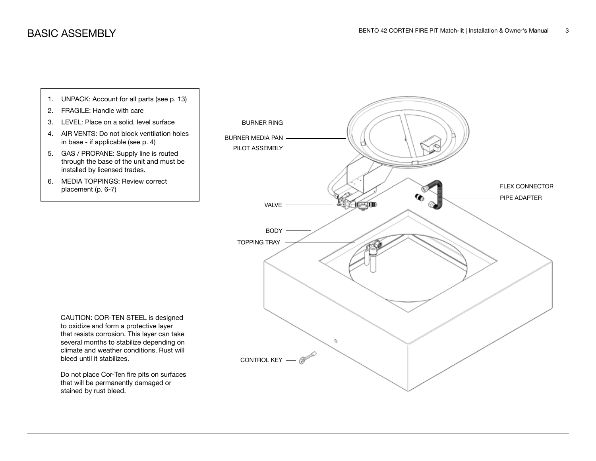

stained by rust bleed.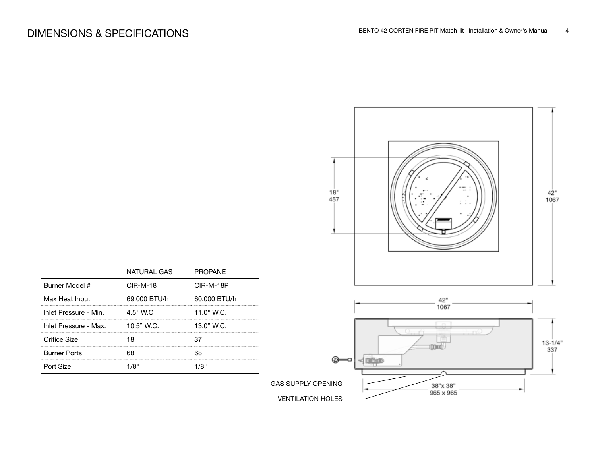

|                       | NATURAL GAS  | <b>PROPANE</b> |
|-----------------------|--------------|----------------|
| Burner Model #        | $CIR-M-18$   | CIR-M-18P      |
| Max Heat Input        | 69,000 BTU/h | 60,000 BTU/h   |
| Inlet Pressure - Min. | 4.5" W.C     | 11.0" W.C.     |
| Inlet Pressure - Max. | 10.5" W.C.   | 13.0" W.C.     |
| Orifice Size          |              |                |
| <b>Burner Ports</b>   |              |                |
| Port Size             | 1/8"         | "1/8           |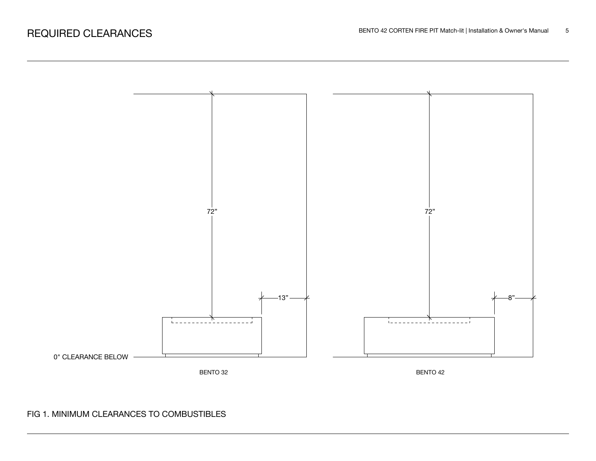

## FIG 1. MINIMUM CLEARANCES TO COMBUSTIBLES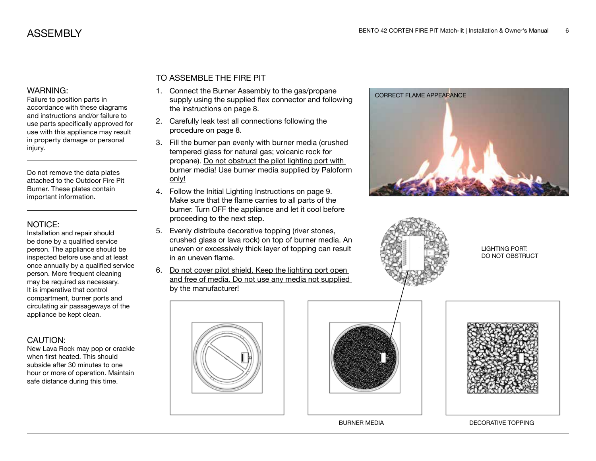#### WARNING:

Failure to position parts in accordance with these diagrams and instructions and/or failure to use parts specifically approved for use with this appliance may result in property damage or personal injury.

Do not remove the data plates attached to the Outdoor Fire Pit Burner. These plates contain important information.

#### NOTICE:

Installation and repair should be done by a qualified service person. The appliance should be inspected before use and at least once annually by a qualified service person. More frequent cleaning may be required as necessary. It is imperative that control compartment, burner ports and circulating air passageways of the appliance be kept clean.

## CAUTION:

New Lava Rock may pop or crackle when first heated. This should subside after 30 minutes to one hour or more of operation. Maintain safe distance during this time.

## TO ASSEMBLE THE FIRE PIT

- 1. Connect the Burner Assembly to the gas/propane supply using the supplied flex connector and following the instructions on page 8.
- 2. Carefully leak test all connections following the procedure on page 8.
- 3. Fill the burner pan evenly with burner media (crushed tempered glass for natural gas; volcanic rock for propane). Do not obstruct the pilot lighting port with burner media! Use burner media supplied by Paloform only!
- 4. Follow the Initial Lighting Instructions on page 9. Make sure that the flame carries to all parts of the burner. Turn OFF the appliance and let it cool before proceeding to the next step.
- 5. Evenly distribute decorative topping (river stones, crushed glass or lava rock) on top of burner media. An uneven or excessively thick layer of topping can result in an uneven flame.
- 6. Do not cover pilot shield. Keep the lighting port open and free of media. Do not use any media not supplied by the manufacturer!







BURNER MEDIA DECORATIVE TOPPING





LIGHTING PORT: DO NOT OBSTRUCT

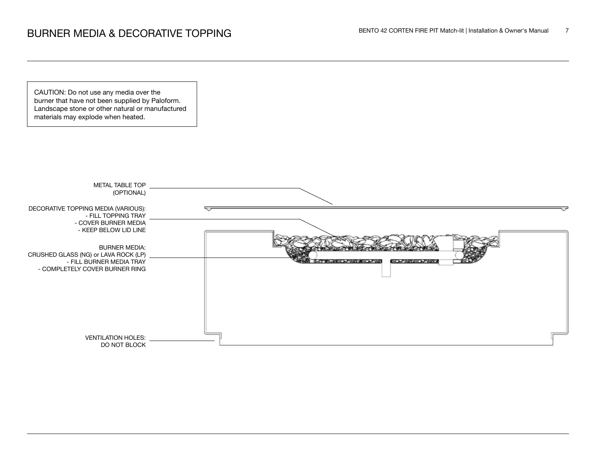CAUTION: Do not use any media over the burner that have not been supplied by Paloform. Landscape stone or other natural or manufactured materials may explode when heated.

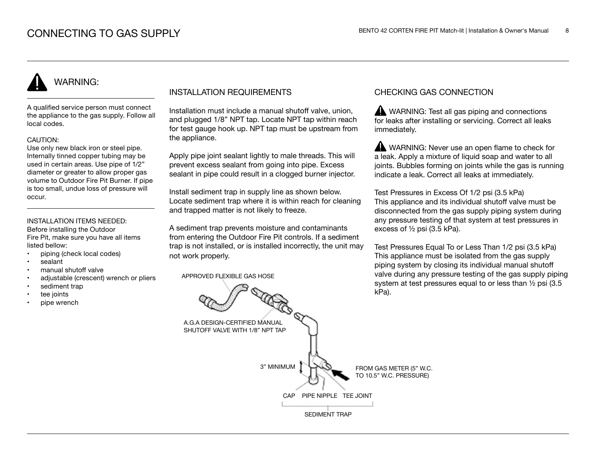# WARNING:

A qualified service person must connect the appliance to the gas supply. Follow all local codes.

#### CAUTION:

Use only new black iron or steel pipe. Internally tinned copper tubing may be used in certain areas. Use pipe of 1/2" diameter or greater to allow proper gas volume to Outdoor Fire Pit Burner. If pipe is too small, undue loss of pressure will occur.

### INSTALLATION ITEMS NEEDED:

Before installing the Outdoor Fire Pit, make sure you have all items listed bellow:

- piping (check local codes)
- sealant
- manual shutoff valve
- adjustable (crescent) wrench or pliers
- sediment trap
- tee joints
- pipe wrench

## INSTALLATION REQUIREMENTS

Installation must include a manual shutoff valve, union, and plugged 1/8" NPT tap. Locate NPT tap within reach for test gauge hook up. NPT tap must be upstream from the appliance.

Apply pipe joint sealant lightly to male threads. This will prevent excess sealant from going into pipe. Excess sealant in pipe could result in a clogged burner injector.

Install sediment trap in supply line as shown below. Locate sediment trap where it is within reach for cleaning and trapped matter is not likely to freeze.

A sediment trap prevents moisture and contaminants from entering the Outdoor Fire Pit controls. If a sediment trap is not installed, or is installed incorrectly, the unit may not work properly.

APPROVED FLEXIBLE GAS HOSE

## CHECKING GAS CONNECTION

WARNING: Test all gas piping and connections for leaks after installing or servicing. Correct all leaks immediately.

WARNING: Never use an open flame to check for a leak. Apply a mixture of liquid soap and water to all joints. Bubbles forming on joints while the gas is running indicate a leak. Correct all leaks at immediately.

Test Pressures in Excess Of 1/2 psi (3.5 kPa) This appliance and its individual shutoff valve must be disconnected from the gas supply piping system during any pressure testing of that system at test pressures in excess of ½ psi (3.5 kPa).

Test Pressures Equal To or Less Than 1/2 psi (3.5 kPa) This appliance must be isolated from the gas supply piping system by closing its individual manual shutoff valve during any pressure testing of the gas supply piping system at test pressures equal to or less than ½ psi (3.5 kPa).

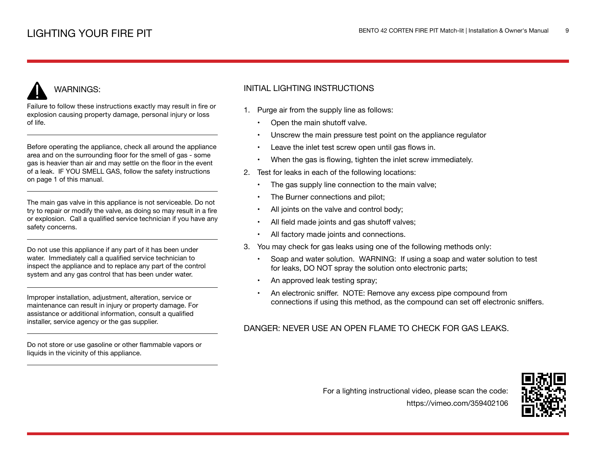# WARNINGS:

Failure to follow these instructions exactly may result in fire or explosion causing property damage, personal injury or loss of life.

Before operating the appliance, check all around the appliance area and on the surrounding floor for the smell of gas - some gas is heavier than air and may settle on the floor in the event of a leak. IF YOU SMELL GAS, follow the safety instructions on page 1 of this manual.

The main gas valve in this appliance is not serviceable. Do not try to repair or modify the valve, as doing so may result in a fire or explosion. Call a qualified service technician if you have any safety concerns.

Do not use this appliance if any part of it has been under water. Immediately call a qualified service technician to inspect the appliance and to replace any part of the control system and any gas control that has been under water.

Improper installation, adjustment, alteration, service or maintenance can result in injury or property damage. For assistance or additional information, consult a qualified installer, service agency or the gas supplier.

Do not store or use gasoline or other flammable vapors or liquids in the vicinity of this appliance.

## INITIAL LIGHTING INSTRUCTIONS

- 1. Purge air from the supply line as follows:
	- Open the main shutoff valve.
	- Unscrew the main pressure test point on the appliance regulator
	- Leave the inlet test screw open until gas flows in.
	- When the gas is flowing, tighten the inlet screw immediately.
- 2. Test for leaks in each of the following locations:
	- The gas supply line connection to the main valve;
	- The Burner connections and pilot;
	- All joints on the valve and control body;
	- All field made joints and gas shutoff valves;
	- All factory made joints and connections.
- 3. You may check for gas leaks using one of the following methods only:
	- Soap and water solution. WARNING: If using a soap and water solution to test for leaks, DO NOT spray the solution onto electronic parts;
	- An approved leak testing spray;
	- An electronic sniffer. NOTE: Remove any excess pipe compound from connections if using this method, as the compound can set off electronic sniffers.

## DANGER: NEVER USE AN OPEN FLAME TO CHECK FOR GAS LEAKS.

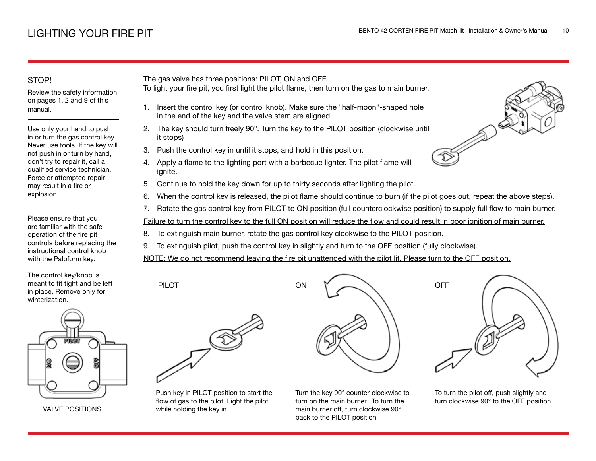## STOP!

Review the safety information on pages 1, 2 and 9 of this manual.

Use only your hand to push in or turn the gas control key. Never use tools. If the key will not push in or turn by hand, don't try to repair it, call a qualified service technician. Force or attempted repair may result in a fire or explosion.

Please ensure that you are familiar with the safe operation of the fire pit controls before replacing the instructional control knob with the Paloform key.

The control key/knob is meant to fit tight and be left in place. Remove only for winterization.



VALVE POSITIONS

The gas valve has three positions: PILOT, ON and OFF.

- To light your fire pit, you first light the pilot flame, then turn on the gas to main burner.
	- 1. Insert the control key (or control knob). Make sure the "half-moon"-shaped hole in the end of the key and the valve stem are aligned.
- 2. The key should turn freely 90°. Turn the key to the PILOT position (clockwise until it stops)
- 3. Push the control key in until it stops, and hold in this position.
- 4. Apply a flame to the lighting port with a barbecue lighter. The pilot flame will ignite.
- 5. Continue to hold the key down for up to thirty seconds after lighting the pilot.
- 6. When the control key is released, the pilot flame should continue to burn (if the pilot goes out, repeat the above steps).
- 7. Rotate the gas control key from PILOT to ON position (full counterclockwise position) to supply full flow to main burner.

Failure to turn the control key to the full ON position will reduce the flow and could result in poor ignition of main burner.

- 8. To extinguish main burner, rotate the gas control key clockwise to the PILOT position.
- 9. To extinguish pilot, push the control key in slightly and turn to the OFF position (fully clockwise).

NOTE: We do not recommend leaving the fire pit unattended with the pilot lit. Please turn to the OFF position.



PILOT

Push key in PILOT position to start the flow of gas to the pilot. Light the pilot while holding the key in



Turn the key 90° counter-clockwise to turn on the main burner. To turn the main burner off, turn clockwise 90° back to the PILOT position



To turn the pilot off, push slightly and turn clockwise 90° to the OFF position.

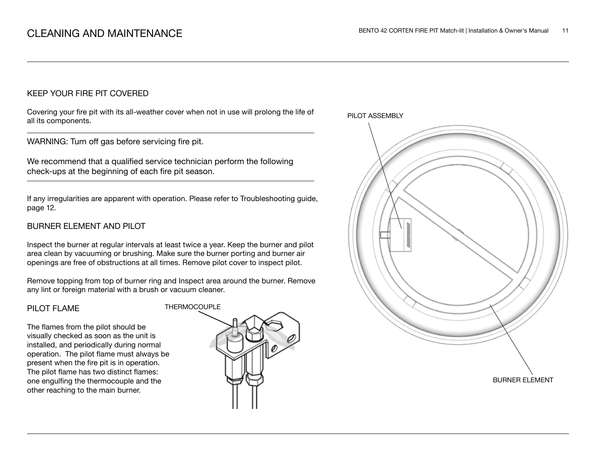## KEEP YOUR FIRE PIT COVERED

Covering your fire pit with its all-weather cover when not in use will prolong the life of all its components.

WARNING: Turn off gas before servicing fire pit.

We recommend that a qualified service technician perform the following check-ups at the beginning of each fire pit season.

If any irregularities are apparent with operation. Please refer to Troubleshooting guide, page 12.

## BURNER ELEMENT AND PILOT

Inspect the burner at regular intervals at least twice a year. Keep the burner and pilot area clean by vacuuming or brushing. Make sure the burner porting and burner air openings are free of obstructions at all times. Remove pilot cover to inspect pilot.

Remove topping from top of burner ring and Inspect area around the burner. Remove any lint or foreign material with a brush or vacuum cleaner.

#### PILOT FLAME

The flames from the pilot should be visually checked as soon as the unit is installed, and periodically during normal operation. The pilot flame must always be present when the fire pit is in operation. The pilot flame has two distinct flames: one engulfing the thermocouple and the other reaching to the main burner.



PILOT ASSEMBLY

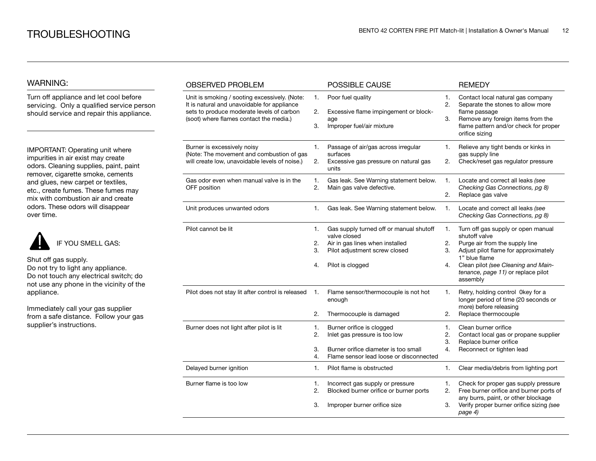## WARNING:

Turn off appliance and let cool before servicing. Only a qualified service person should service and repair this appliance.

IMPORTANT: Operating unit where impurities in air exist may create odors. Cleaning supplies, paint, paint remover, cigarette smoke, cements and glues, new carpet or textiles, etc., create fumes. These fumes may mix with combustion air and create odors. These odors will disappear over time.



Shut off gas supply. Do not try to light any appliance.

Do not touch any electrical switch; do not use any phone in the vicinity of the appliance.

Immediately call your gas supplier from a safe distance. Follow your gas supplier's instructions.

| <b>OBSERVED PROBLEM</b>                                                                                                                                                                                |                      | POSSIBLE CAUSE                                                                                                                                  |                      | <b>REMEDY</b>                                                                                                                                                                                                                           |
|--------------------------------------------------------------------------------------------------------------------------------------------------------------------------------------------------------|----------------------|-------------------------------------------------------------------------------------------------------------------------------------------------|----------------------|-----------------------------------------------------------------------------------------------------------------------------------------------------------------------------------------------------------------------------------------|
| Unit is smoking / sooting excessively. (Note:<br>1.<br>It is natural and unavoidable for appliance<br>sets to produce moderate levels of carbon<br>2.<br>(soot) where flames contact the media.)<br>3. |                      | Poor fuel quality<br>Excessive flame impingement or block-<br>age<br>Improper fuel/air mixture                                                  |                      | Contact local natural gas company<br>Separate the stones to allow more<br>flame passage<br>Remove any foreign items from the<br>flame pattern and/or check for proper<br>orifice sizing                                                 |
| Burner is excessively noisy<br>1.<br>(Note: The movement and combustion of gas<br>will create low, unavoidable levels of noise.)<br>2.                                                                 |                      | Passage of air/gas across irregular<br>surfaces<br>Excessive gas pressure on natural gas<br>units                                               | 1.<br>2.             | Relieve any tight bends or kinks in<br>gas supply line<br>Check/reset gas regulator pressure                                                                                                                                            |
| Gas odor even when manual valve is in the<br>OFF position                                                                                                                                              | 1.<br>2.             | Gas leak. See Warning statement below.<br>Main gas valve defective.                                                                             | 1.<br>2.             | Locate and correct all leaks (see<br>Checking Gas Connections, pg 8)<br>Replace gas valve                                                                                                                                               |
| Unit produces unwanted odors                                                                                                                                                                           | 1.                   | Gas leak. See Warning statement below.                                                                                                          | 1.                   | Locate and correct all leaks (see<br>Checking Gas Connections, pg 8)                                                                                                                                                                    |
| Pilot cannot be lit                                                                                                                                                                                    | 1.<br>2.<br>3.<br>4. | Gas supply turned off or manual shutoff<br>valve closed<br>Air in gas lines when installed<br>Pilot adjustment screw closed<br>Pilot is clogged | 1.<br>2.<br>3.<br>4. | Turn off gas supply or open manual<br>shutoff valve<br>Purge air from the supply line<br>Adjust pilot flame for approximately<br>1" blue flame<br>Clean pilot (see Cleaning and Main-<br>tenance, page 11) or replace pilot<br>assembly |
| Pilot does not stay lit after control is released                                                                                                                                                      | 1.<br>2.             | Flame sensor/thermocouple is not hot<br>enough<br>Thermocouple is damaged                                                                       | 1.<br>2.             | Retry, holding control 0key for a<br>longer period of time (20 seconds or<br>more) before releasing<br>Replace thermocouple                                                                                                             |
| Burner does not light after pilot is lit                                                                                                                                                               | 1.<br>2.<br>3.<br>4. | Burner orifice is clogged<br>Inlet gas pressure is too low<br>Burner orifice diameter is too small<br>Flame sensor lead loose or disconnected   | 1.<br>2.<br>3.<br>4. | Clean burner orifice<br>Contact local gas or propane supplier<br>Replace burner orifice<br>Reconnect or tighten lead                                                                                                                    |
| Delayed burner ignition                                                                                                                                                                                | 1.                   | Pilot flame is obstructed                                                                                                                       | 1.                   | Clear media/debris from lighting port                                                                                                                                                                                                   |
| Burner flame is too low                                                                                                                                                                                | 1.<br>2.<br>3.       | Incorrect gas supply or pressure<br>Blocked burner orifice or burner ports<br>Improper burner orifice size                                      | 1.<br>2.<br>3.       | Check for proper gas supply pressure<br>Free burner orifice and burner ports of<br>any burrs, paint, or other blockage<br>Verify proper burner orifice sizing (see<br>page 4)                                                           |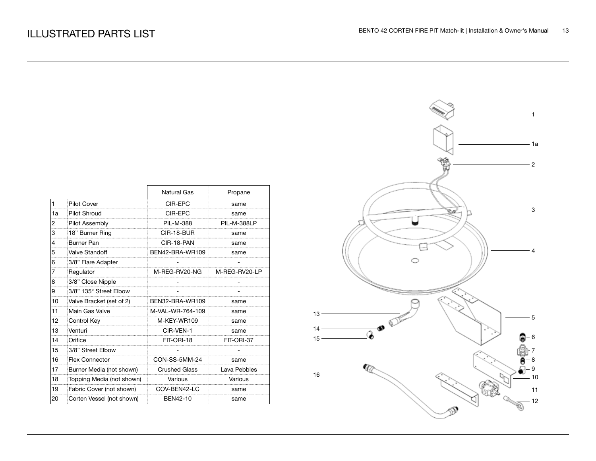|    |                           | Natural Gas          | Propane            |
|----|---------------------------|----------------------|--------------------|
| 1  | <b>Pilot Cover</b>        | CIR-EPC              | same               |
| 1a | <b>Pilot Shroud</b>       | CIR-EPC              | same               |
| 2  | Pilot Assembly            | PII - M-388          | <b>PIL-M-388LP</b> |
| 3  | 18" Burner Ring           | CIR-18-BUR           | same               |
| 4  | Burner Pan                | CIR-18-PAN           | same               |
| 5  | Valve Standoff            | BEN42-BRA-WR109      | same               |
| 6  | 3/8" Flare Adapter        |                      |                    |
| 7  | Regulator                 | M-REG-RV20-NG        | M-REG-RV20-LP      |
| 8  | 3/8" Close Nipple         |                      |                    |
| 9  | 3/8" 135° Street Elbow    |                      |                    |
| 10 | Valve Bracket (set of 2)  | BEN32-BRA-WR109      | same               |
| 11 | Main Gas Valve            | M-VAL-WR-764-109     | same               |
| 12 | Control Key               | M-KEY-WR109          | same               |
| 13 | Venturi                   | CIR-VEN-1            | same               |
| 14 | Orifice                   | FIT-ORI-18           | FIT-ORI-37         |
| 15 | 3/8" Street Elbow         |                      |                    |
| 16 | <b>Flex Connector</b>     | CON-SS-5MM-24        | same               |
| 17 | Burner Media (not shown)  | <b>Crushed Glass</b> | Lava Pebbles       |
| 18 | Topping Media (not shown) | Various              | Various            |
| 19 | Fabric Cover (not shown)  | COV-BEN42-LC         | same               |
| 20 | Corten Vessel (not shown) | BEN42-10             | same               |